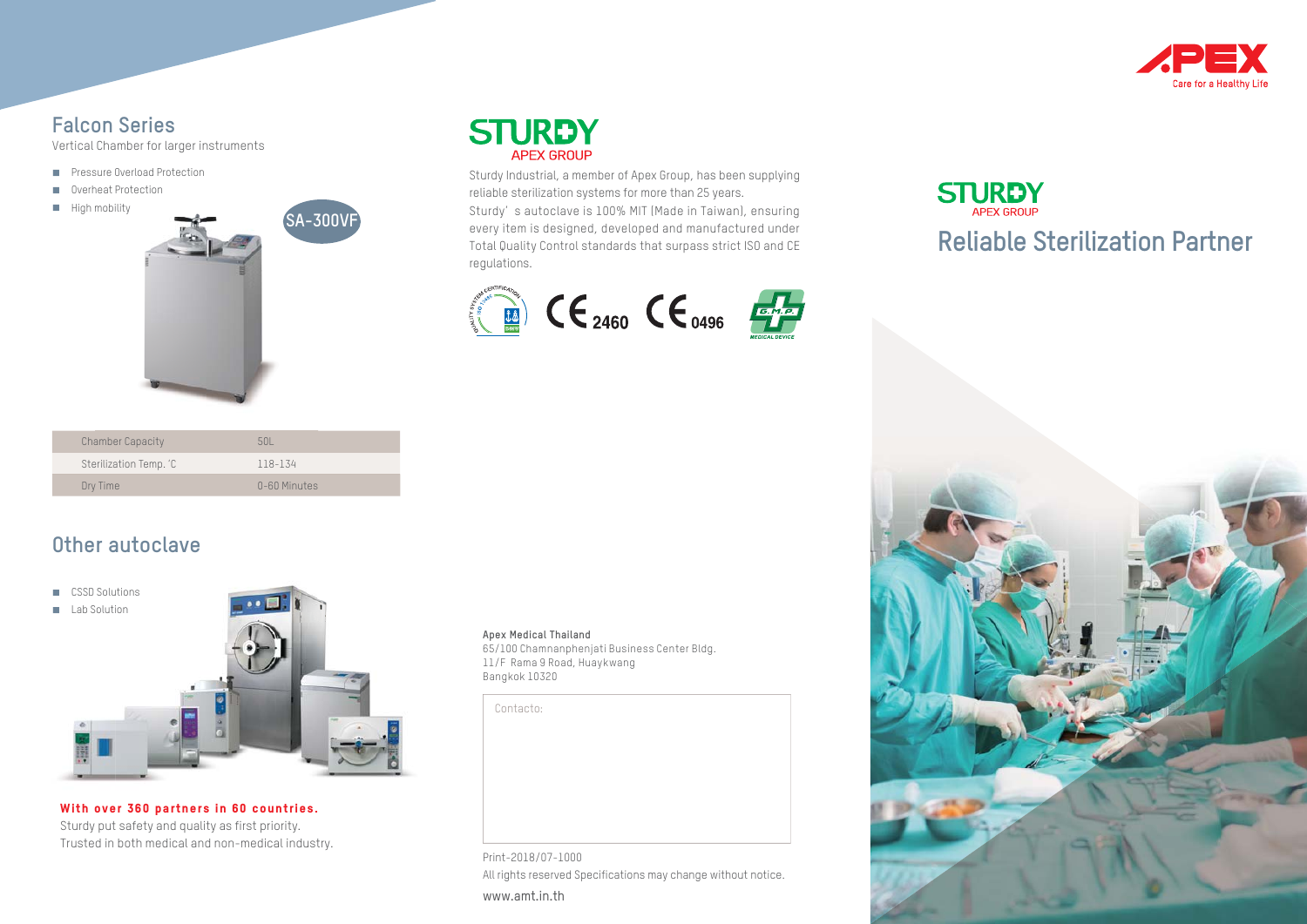

#### **Falcon Series**

Vertical Chamber for larger instruments

- **Pressure Overload Protection**
- **Overheat Protection**
- $H$ igh mobility





regulations.

Sturdy Industrial, a member of Apex Group, has been supplying reliable sterilization systems for more than 25 years. Sturdy' s autoclave is 100% MIT (Made in Taiwan), ensuring every item is designed, developed and manufactured under Total Quality Control standards that surpass strict ISO and CE







### **Other autoclave**

- CSSD Solutions
- **Lab Solution**



**With over 360 partners in 60 countries.**  Sturdy put safety and quality as first priority. Trusted in both medical and non-medical industry.

#### **Apex Medical Thailand**

65/100 Chamnanphenjati Business Center Bldg. 11/F Rama 9 Road, Huaykwang Bangkok 10320

Contacto:

Print-2018/07-1000 All rights reserved Specifications may change without notice. www.amt.in.th